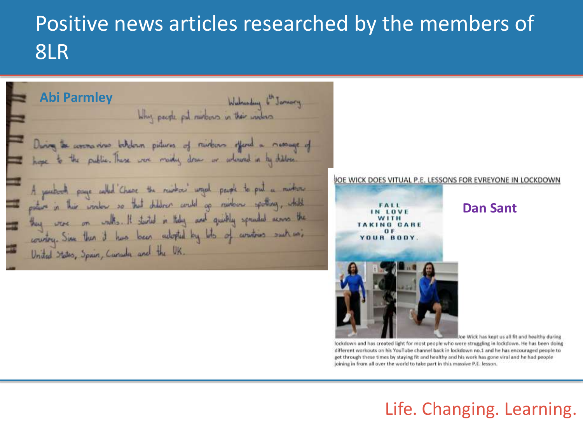# Positive news articles researched by the members of 8LR



Joe Wick has kept us all fit and healthy during lockdown and has created light for most people who were struggling in lockdown. He has been doing different workouts on his YouTube channel back in lockdown no.1 and he has encouraged people to get through these times by staying fit and healthy and his work has gone viral and he had people joining in from all over the world to take part in this massive P.E. lesson.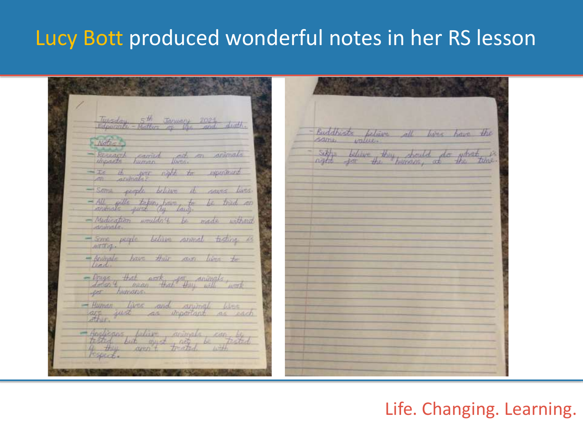# Lucy Bott produced wonderful notes in her RS lesson

Tuesday 5th January 2021 digth. Buddhists felieve all lives have the Same. Settle believe they should do what Recearch comind path on animals nortite time to divinate agest to experience - some people believe it saves lives. - All taking bit to be trid an - Medication wouldn't be made without drimate. - Some people believe consmal testing is AUTIVIA. -Animale have their cars lives to lead. - Drugs of that are that they will work er humans. - Human lives and animal lives are we and anymat were<br>are we as important as each - Anglicans believe winners can be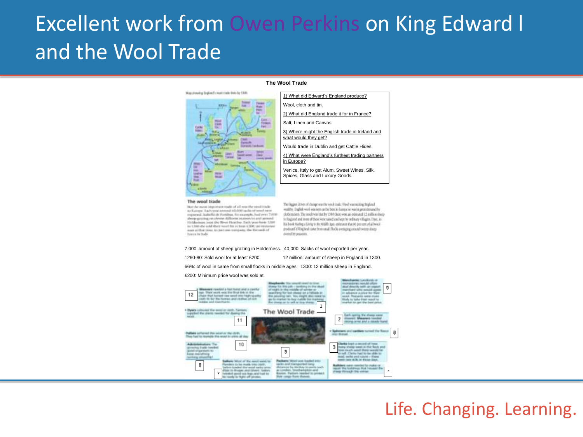# Excellent work from Owen Perkins on King Edward l and the Wool Trade

### Map showing Tegland's must stude links by 1300.



### **The Wool Trade**



### The wool trade

But the ment topoisture made of all rote the stock trade as Europe. La h tear areneal 40,000 sacks of weed new exported, bulletta de Vortifino, for excessive, fixed over 2:4000. aborg-grazing on about different numers in and area in di Elishbetwess, tonic the Street Hunther. Each true fixes: 1260. to 1,198-die sold they would by at least 4,100, as imported auto at their blood and paint new manglains, the Retrainblaff Toron to Balti-

The biggest different fulninger was the wood trade. We obvan training finglend sealthy. English woul was seen as the best in Europe so was in grunt demand by doth rankers. The reside was that by 1980 there were an externed 12 in dilute streep to England and to see of these were raised and kept by ordinary villagers. Hyer, inhis book Ataling a Living to the Middle Aga), estimates that 96 per cent of all wool produced in Fitzgalands cannot filter and the day are also also also also also detect by pointing.

### 7,000: amount of sheep grazing in Holderness. 40,000: Sacks of wool exported per year.

1260-80: Sold wool for at least £200. 12 million: amount of sheep in England in 1300. 66%: of wool in came from small flocks in middle ages. 1300: 12 million sheep in England.

### £200: Minimum price wool was sold at.

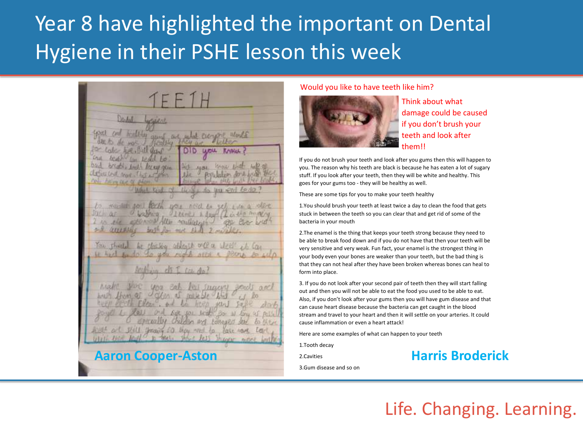# Year 8 have highlighted the important on Dental Hygiene in their PSHE lesson this week

TEF1L  $34.81$ attituted me. ele exercis Allie reuliversin Tell throwing a chew med to **Aaron Cooper-Aston Examines 2.Cavities Harris Broderick** 

### Would you like to have teeth like him?



Think about what damage could be caused if you don't brush your teeth and look after them!!

If you do not brush your teeth and look after you gums then this will happen to you. The reason why his teeth are black is because he has eaten a lot of sugary stuff. If you look after your teeth, then they will be white and healthy. This goes for your gums too - they will be healthy as well.

These are some tips for you to make your teeth healthy

1.You should brush your teeth at least twice a day to clean the food that gets stuck in between the teeth so you can clear that and get rid of some of the bacteria in your mouth

2.The enamel is the thing that keeps your teeth strong because they need to be able to break food down and if you do not have that then your teeth will be very sensitive and very weak. Fun fact, your enamel is the strongest thing in your body even your bones are weaker than your teeth, but the bad thing is that they can not heal after they have been broken whereas bones can heal to form into place.

3. If you do not look after your second pair of teeth then they will start falling out and then you will not be able to eat the food you used to be able to eat. Also, if you don't look after your gums then you will have gum disease and that can cause heart disease because the bacteria can get caught in the blood stream and travel to your heart and then it will settle on your arteries. It could cause inflammation or even a heart attack!

Here are some examples of what can happen to your teeth

1.Tooth decay

2.Cavities

3.Gum disease and so on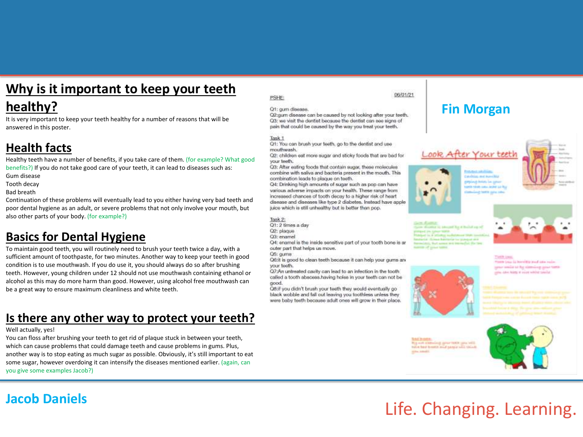## **Why is it important to keep your teeth**

## **healthy?**

It is very important to keep your teeth healthy for a number of reasons that will be answered in this poster.

## **Health facts**

Healthy teeth have a number of benefits, if you take care of them. (for example? What good benefits?) If you do not take good care of your teeth, it can lead to diseases such as: Gum disease

Tooth decay

Bad breath

Continuation of these problems will eventually lead to you either having very bad teeth and poor dental hygiene as an adult, or severe problems that not only involve your mouth, but also other parts of your body. (for example?)

## **Basics for Dental Hygiene**

To maintain good teeth, you will routinely need to brush your teeth twice a day, with a sufficient amount of toothpaste, for two minutes. Another way to keep your teeth in good condition is to use mouthwash. If you do use it, you should always do so after brushing teeth. However, young children under 12 should not use mouthwash containing ethanol or alcohol as this may do more harm than good. However, using alcohol free mouthwash can be a great way to ensure maximum cleanliness and white teeth.

## **Is there any other way to protect your teeth?**

### Well actually, yes!

You can floss after brushing your teeth to get rid of plaque stuck in between your teeth, which can cause problems that could damage teeth and cause problems in gums. Plus, another way is to stop eating as much sugar as possible. Obviously, it's still important to eat some sugar, however overdoing it can intensify the diseases mentioned earlier. (again, can you give some examples Jacob?)

### PSHE:

### O1: gum disease.

Q2:gum disease can be caused by not looking after your teeth. Q3: we visit the dentist because the dentist can see signs of pain that could be caused by the way you treat your teeth.

### Task 1

Q1: You can brush your teeth, go to the dentist and use mouthwash.

Q2: children eat more sugar and sticky foods that are bad for your teeth.

Q3: After eating foods that contain sugar, these molecules combine with saliva and bacteria present in the mouth. This combination leads to plaque on teeth.

Q4: Drinking high amounts of sugar such as pop can have various adverse impacts on your health. These range from increased chances of tooth decay to a higher risk of heart disease and diseases like type 2 diabetes. Instead have apple juice which is still unhealthy but is better than pop.

Task 2: Q1: 2 times a day Q2: plaque

Q3: enamel

Q4: enamel is the inside sensitive part of your tooth bone is an outer part that helps us move.

Q5: gums Q6:it is good to clean teeth because it can help your gums an your testh.

Q7:An untreated cavity can lead to an infection in the tooth called a tooth abscess, having holes in your teeth can not be good.

Q8:if you didn't brush your teeth they would eventually go black wobble and fall out leaving you toothless unless they were baby teeth because adult ones will grow in their place.

### 06/01/21

## **Fin Morgan**



**Contract Avenue State** 

with visible comes bether the base

ing term give sex

ing Local Antonio Tax param







Timit Law There is no in horself is stud into ruin great social at his state-loop good turns one and him it root whist tender





# Life. Changing. Learning.

## **Jacob Daniels**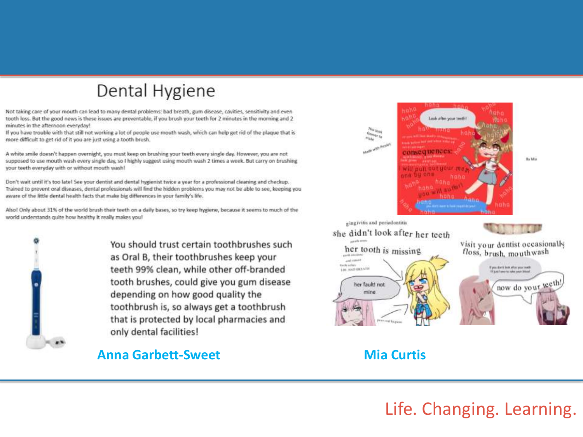## Dental Hygiene

Not taking care of your mouth can lead to many dental problems: bad breath, gum disease, cavities, sensitivity and even tooth loss. But the good news is these issues are preventable, if you brush your teeth for 2 minutes in the morning and 2 minutes in the afternoon everyday!

If you have trouble with that still not working a lot of people use mouth wash, which can help get rid of the plaque that is more difficult to get rid of it you are just using a tooth brush.

A white smile doesn't happen overnight, you must keep on brushing your teeth every single day. However, you are not supposed to use mouth wash every single day, so I highly suggest using mouth wash 2 times a week. But carry on brushing your teeth everyday with or without mouth wash!

Don't wait until it's too late! See your dentist and dental hygienist twice a year for a professional cleaning and checkup. Trained to prevent oral diseases, dental professionals will find the hidden problems you may not be able to see, keeping you aware of the little dental health facts that make big differences in your family's life.





You should trust certain toothbrushes such as Oral B, their toothbrushes keep your teeth 99% clean, while other off-branded tooth brushes, could give you gum disease depending on how good quality the toothbrush is, so always get a toothbrush that is protected by local pharmacies and only dental facilities!

### **Anna Garbett-Sweet Mia Curtis**

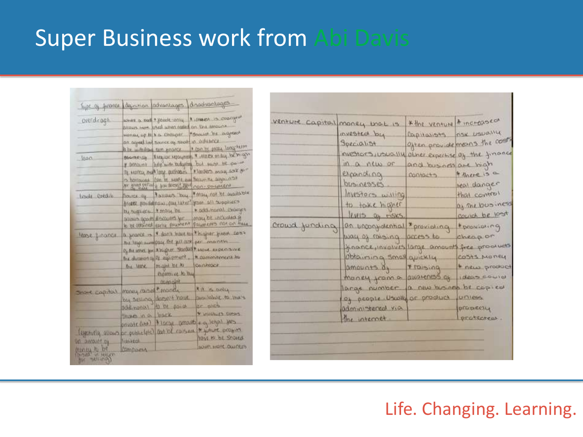# Super Business work from Abi Davis

| lype a firence describer ladvantages dispositionalinges |                                                    |                                                                                                                                                       |                                                                                                                                                                                                                             |
|---------------------------------------------------------|----------------------------------------------------|-------------------------------------------------------------------------------------------------------------------------------------------------------|-----------------------------------------------------------------------------------------------------------------------------------------------------------------------------------------------------------------------------|
| prendicapt                                              | is be withdraw tum woorce.                         | sovers a nord * yound contra<br>allows next assil when fixed on the attours<br>viering up to him. Emborate<br>an agent in there as annot in all there | A unext is overgrad<br>"doouter be agreed<br>· Con be endy long arm                                                                                                                                                         |
| Innec.                                                  | <b>BOGITACIÓN</b><br>W DONOUGH                     | ity numers, and large pathologies.                                                                                                                    | The use repayments & white on any better go<br>living with budgeting bud swept bit do not<br>"Winders may ask or"<br>> horizoned (con by such any Server he appeared)<br>No good getting is an deepid liked non . po-uncent |
| Emolt Predite                                           | <b>SOUTCALOW</b>                                   | Farmers Day<br>by suppliers   & mass, be                                                                                                              | * may not be available<br>Ander possibilition fou in it! you all supplies<br>* oddshonol  thomps<br>about the second were formulated theop, county<br>to be vomined earne sucment powmering not on files                    |
| lease finance                                           | the leave                                          | the legs modered the full and for manufacture<br>might be to convenier<br>Pupinnive to the<br>otlanssht.                                              | a prove is I don't have too higher pread con-<br>Of the asset, love X mights. Startung & work, expect to we<br>the dummon of of awareness, in commences to                                                                  |
| Spart copital                                           | money raised roads<br>Accounted<br>there in a back | by selling desirt hour<br>to be games                                                                                                                 | XM X Ochy<br>available to their<br>dr sich<br>* VONCALLY COMMY<br>provair and \$1000 provait a gregat yes                                                                                                                   |
| <b>VOLTAGOVATION</b><br>DOLLARI<br><b>COMMAN</b>        | <b><i><u>MANASCH</u></i></b><br><b>DOM DOKINA</b>  |                                                                                                                                                       | levertily allows be publicle is an of rasser to your progres<br><b>VOICE PO OF SHOPLO</b><br>WORLEAD! JIMMI, NOW                                                                                                            |

| venture capital money mot is               |                                                    | * the venture + increased |                              |
|--------------------------------------------|----------------------------------------------------|---------------------------|------------------------------|
|                                            | <b>INVESTED by</b>                                 | Capitalists nox usually   |                              |
|                                            | Specialist                                         |                           | Often provide means the cost |
|                                            | I nuestors, usually alser expertise of the finance |                           |                              |
|                                            | in a new or                                        | and busness are high      |                              |
|                                            | espanding                                          | CONTOCTS                  | * there is a                 |
|                                            | businesses                                         |                           | teal danger                  |
|                                            | Investors willing                                  |                           | that control                 |
|                                            | to take higher                                     |                           | Dy The business              |
|                                            | levels as risks.                                   |                           | coured be lost               |
| crowd funding an incontrational "providing |                                                    |                           | tproviding                   |
|                                            | at como priori la junio                            |                           | cheap.or                     |
|                                            | france, involves large amounts free products       |                           |                              |
|                                            | obtaining small quickly                            |                           | COSTS MONEY                  |
|                                            | amounts of Traising                                |                           | · new product                |
|                                            | Maney from a awareness of                          |                           | ideas could                  |
|                                            | large number a new business be capied              |                           |                              |
|                                            | of people Usually or product                       |                           | <b>LUCTURIES</b>             |
|                                            | administered via                                   |                           | PERMERILL                    |
|                                            | the internet                                       |                           | protected.                   |
|                                            |                                                    |                           |                              |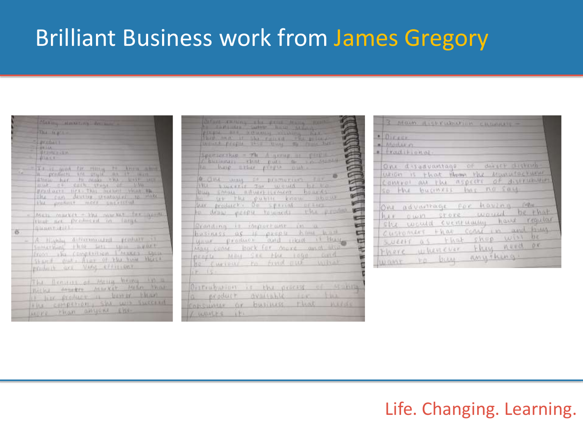# Brilliant Business work from James Gregory

|          | Antario Hoodting decisions<br>73444122                                                                                                                                      |
|----------|-----------------------------------------------------------------------------------------------------------------------------------------------------------------------------|
|          | $=$ $\frac{1}{2}$ $\frac{1}{2}$ $\frac{1}{2}$ $\frac{1}{2}$<br>$=$ 10 $+$ 11m<br>1.418887                                                                                   |
| 4        | "The expect for many re know<br>in products are anywhere it with<br>the our develop products to which<br>the produce mere cacetyred                                         |
| $\sigma$ | MET: MUCKET - The market for question<br>$=$<br>that are presenced in large<br><b>AMMITILIA</b>                                                                             |
|          | - A HAWLER AUTOMOBILITY TO HELD TO<br>something this set this appearance<br>front the complexion l'Aussis Open<br>Shand out Aver of the vice Merce<br>WEIGHT OF VAN FIFTING |
|          | The firming of Actin bring in a<br>Boths expert murket sulln than<br>I like produce it bewar than<br>FRE COMPETION, SAL WIS SWOOLER<br>MUPE Phan anticke cise               |

| define twiting the stress team profit.<br>herme he recovery states and the price of<br>mount proper sell loved by finis them                                                                                                          |
|---------------------------------------------------------------------------------------------------------------------------------------------------------------------------------------------------------------------------------------|
| Specialities - The Assessment of Calif.<br>Chainman that put a in sunt<br>to hap then player out.                                                                                                                                     |
| <b>A give you of promotive for</b><br>buy sweet to would be to<br>to us the public know about<br>her product. De special orders<br>to draw people towards who product<br>≈                                                            |
| Branding is important in a<br>A<br>hasiness as if people home had<br>c<br>your product and like it bless<br>۳<br>20 年<br>May come bock for more and also<br>people May See Flu 10gp and<br>He furious to fund and unbake<br>$17.15 +$ |
| Outrabution is the process of standar<br>a product available for the<br>consumer or business that weeds<br>/ wares it.                                                                                                                |

| 3 MOUM KICKWINDOWNIN ERRAHAY -                                                                                                                  |
|-------------------------------------------------------------------------------------------------------------------------------------------------|
| $\cdot$ Direct<br>a) Montar m                                                                                                                   |
| $\bullet$ fractitional.<br>One disadvantage of direct distrib-<br>writer is that them the Manufacturer<br>Convect an the aspects of assertation |
| so the business has no soul<br>One advantage for having for                                                                                     |
| hir own store would be that<br>The would eventuating have required                                                                              |
| there whenever they need or                                                                                                                     |
| Customers that come in and them<br>sullt as that shop will be<br>want to buy anything.                                                          |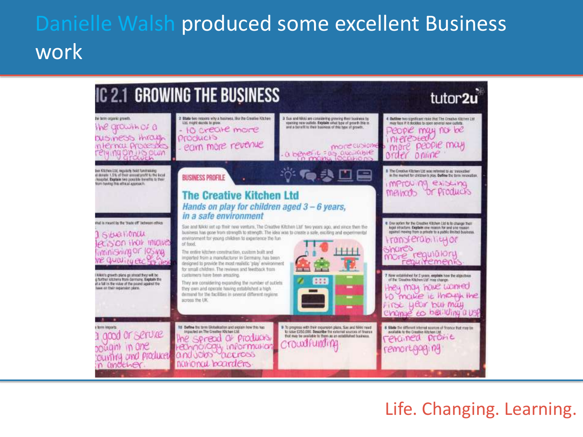# Danielle Walsh produced some excellent Business work

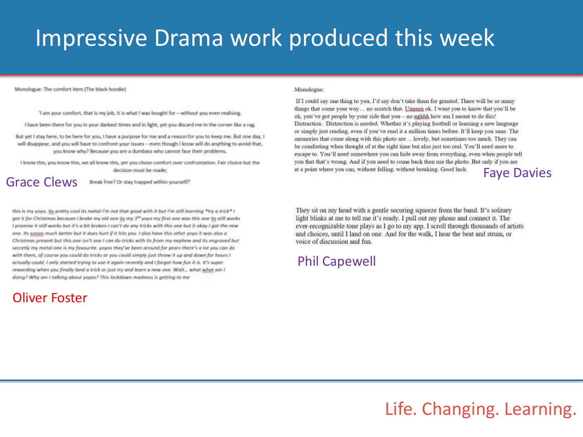# Impressive Drama work produced this week

Monologue: The comfort item (The black hoodie)

'I am your comfort, that is my job, it is what I was bought for - without you even realising.

I have been there for you in your darkest times and in light, yet you discard me in the corner like a rag.

But yet I stay here, to be here for you, I have a purpose for me and a reason for you to keep me. But one day, I will disappear, and you will have to confront your issues - even though I know will do anything to avoid that, you know why? Because you are a dumbass who cannot face their problems.

I know this, you know this, we all know this, yet you chose comfort over confrontation. Fair choice but the decision must be made: at a point where you can, without falling, without breaking. Good luck. Faye Davies Fayer Davies and the match of the speak free? Or stay trapped within yourself?

this is my yoya. Its pretty cool its metal I'm not that good with it but I'm still learning \*try a trick\* I got it for Christmas because I broke my old one its my 3<sup>rd</sup> yoyo my first one was this one its still works I promise it still works but it's a bit broken I can't do any tricks with this one but it okay I got the new one. Its soppo much better but it does hurt if it hits you. I also have this other youn it was also a Christmas present but this one isn't one I can do tricks with its from my nephew and its engraved but secretly my metal one is my favourite, yoyas they've been around for years there's a lot you can do with them, of course you could do tricks or you could simply just throw it up and down for hours I actually could. I anly started trying to use it again recently and I forgot how fun it is. It's super rewording when you finally land a trick or just try and learn a new one. Wait... what what am I doing? Why am I talking about yayas? This lockdown madness is getting to me

## Oliver Foster

### Monologue:

If I could say one thing to you, I'd say don't take them for granted. There will be so many things that come your way... no scratch that. Ununm ok. I want you to know that you'll be ok, you've got people by your side that you - no ughhh how am I meant to do this! Distraction. Distraction is needed. Whether it's playing football or learning a new language or simply just reading, even if you've read it a million times before. It'll keep you sane. The memories that come along with this photo are... lovely, but sometimes too much. They can be comforting when thought of at the right time but also just too real. You'll need more to escape to. You'll need somewhere you can hide away from everything, even when people tell you that that's wrong. And if you need to come back then use the photo. But only if you are

They sit on my head with a gentle securing squeeze from the band. It's solitary light blinks at me to tell me it's ready. I pull out my phone and connect it. The ever-recognizable tone plays as I go to my app. I scroll through thousands of artists and choices, until I land on one. And for the walk, I hear the beat and strum, or voice of discussion and fun.

### Phil Capewell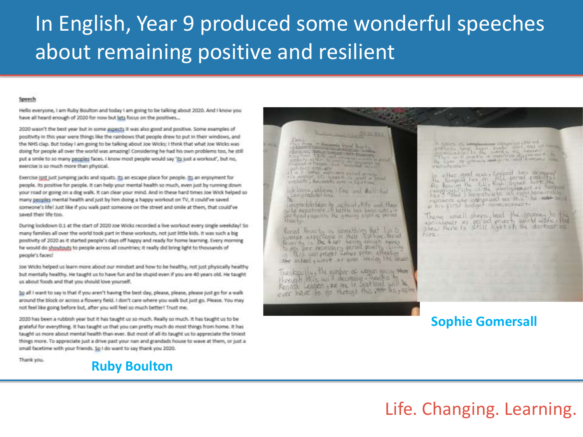# In English, Year 9 produced some wonderful speeches about remaining positive and resilient

### Speech

Hello everyone, I am Ruby Boulton and today I am going to be talking about 2020. And I know you have all heard enough of 2020 for now but lets focus on the positives...

2020 wasn't the best year but in some aspects it was also good and positive. Some examples of positivity in this year were things like the rainbows that people drew to put in their windows, and the NHS clap. But today I am going to be talking about Joe Wicks; I think that what Joe Wicks was doing for people all over the world was amazing! Considering he had his own problems too, he still put a smile to so many peoples faces. I know most people would say 'its just a workout', but no. exercise is so much more than physical.

Exercise isnt just jumping jacks and squats. Its an escape place for people. Its an enjoyment for people, its positive for people. It can help your mental health so much, even just by running down your road or going on a dog walk. It can clear your mind. And in these hard times Joe Wick helped so many peoples mental health and just by him doing a happy workout on TV, it could've saved someone's life! Just like if you walk past someone on the street and smile at them, that could've saved their life too.

During lockdown 0.1 at the start of 2020 Joe Wicks recorded a live workout every single weekday! So many families all over the world took part in these workouts, not just little kids. It was such a big positivity of 2020 as it started people's days off happy and ready for home learning. Every morning he would do shoutputs to people across all countries; it really did bring light to thousands of people's faces!

Joe Wicks helped us learn more about our mindset and how to be healthy, not just physically healthy but mentally healthy. He taught us to have fun and be stupid even if you are 40 years old. He taught us about foods and that you should love yourself.

So all I want to say is that if you aren't having the best day, please, please, please just go for a walk around the block or across a flowery field. I don't care where you walk but just go. Please. You may not feel like going before but, after you will feel so much better! Trust me.

2020 has been a rubbish year but it has taught us so much. Really so much. It has taught us to be grateful for everything. It has taught us that you can pretty much do most things from home. It has taught us more about mental health than ever. But most of all its taught us to appreciate the tiniest things more. To appreciate just a drive past your nan and grandads house to wave at them, or just a small facetime with your friends. So I do want to say thank you 2020.

Thank you.



The Month Links March 1980  $\frac{1}{\sqrt{2}}\left|\frac{\partial\mathbf{u}}{\partial\mathbf{u}}\right|=\frac{1}{\sqrt{2}}\left|\frac{\partial\mathbf{u}}{\partial\mathbf{u}}\right|=\frac{1}{\sqrt{2}}\left|\frac{\partial\mathbf{u}}{\partial\mathbf{u}}\right|=\frac{1}{\sqrt{2}}\left|\frac{\partial\mathbf{u}}{\partial\mathbf{u}}\right|=\frac{1}{\sqrt{2}}\left|\frac{\partial\mathbf{u}}{\partial\mathbf{u}}\right|=\frac{1}{\sqrt{2}}\left|\frac{\partial\mathbf{u}}{\partial\mathbf{u}}\right|=\frac{1}{\sqrt{2}}\left|\frac{\partial\mathbf{u}}$ uning thicets

**Ammy** 

 $\begin{minipage}{.4\linewidth} \begin{tabular}{l} \hline 1 & 1 & 1 \\ 1 & 1 & 1 \\ 1 & 1 & 1 \\ \hline \end{tabular} \end{minipage} \begin{minipage}{.4\linewidth} \begin{tabular}{l} \hline 1 & 1 \\ 1 & 1 \\ 1 & 1 \\ \hline \end{tabular} \end{minipage} \begin{minipage}{.4\linewidth} \begin{tabular}{l} \hline 1 & 1 \\ 1 & 1 \\ 1 & 1 \\ \hline \end{tabular} \end{minipage} \begin{minipage}{.4\linewidth} \begin{tabular}{l} \hline 1 & 1 \\ 1 & 1 \\ 1 & 1$ 

inclusive welcome infine and that that centralistichene

Constantink room by outbuild fifts and them whe menstrate . It have not been worked as fland comints. He are the sight of prevel Hinter bar

foriad librarity is something but I in S worker experience in the hand elevation ments she scheel, work or even leaving the lower

Thanks III, the number of women going the through this will decrease Thanks Ferita Lenger - we are in Scotland will be ever have to go through this of his action minishialan

in his circle bottom appearants

These small steps lead the journey to the show there is still light it the darkest of **Hims** 

### **Sophie Gomersall**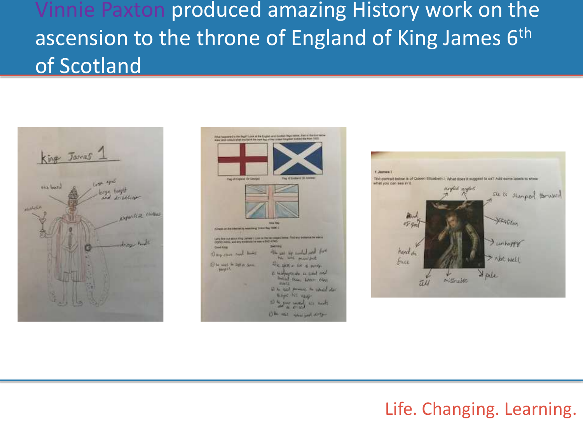Vinnie Paxton produced amazing History work on the ascension to the throne of England of King James 6<sup>th</sup> of Scotland





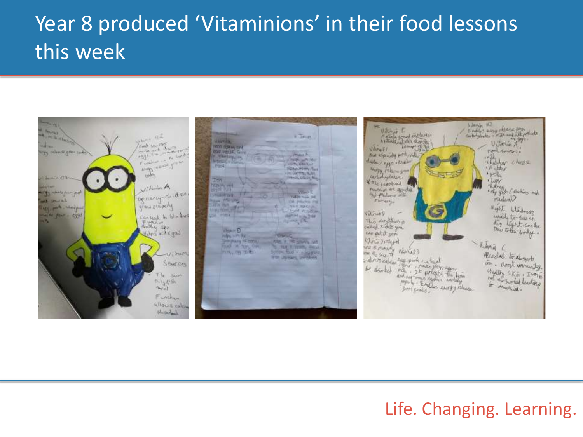# Year 8 produced 'Vitaminions' in their food lessons this week

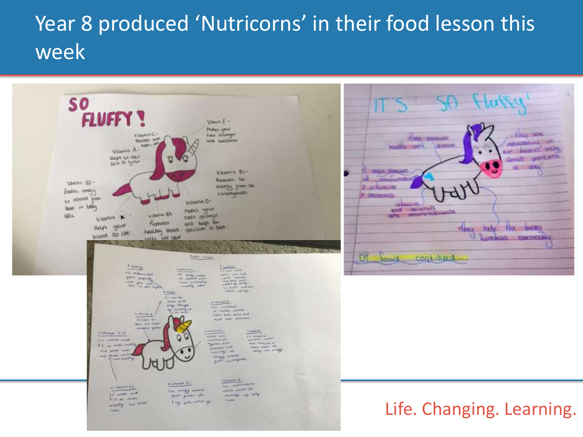# Year 8 produced 'Nutricorns' in their food lesson this week